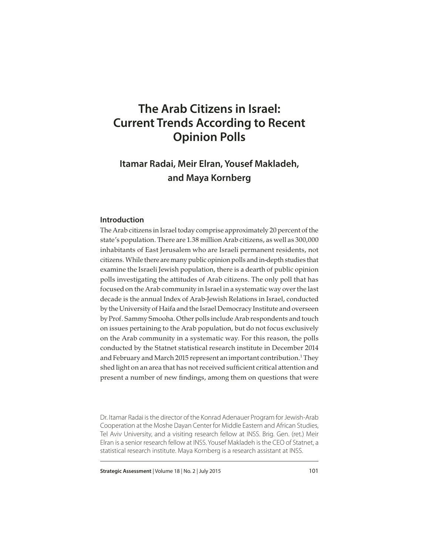# **The Arab Citizens in Israel: Current Trends According to Recent Opinion Polls**

## **Itamar Radai, Meir Elran, Yousef Makladeh, and Maya Kornberg**

## **Introduction**

The Arab citizens in Israel today comprise approximately 20 percent of the state's population. There are 1.38 million Arab citizens, as well as 300,000 inhabitants of East Jerusalem who are Israeli permanent residents, not citizens. While there are many public opinion polls and in-depth studies that examine the Israeli Jewish population, there is a dearth of public opinion polls investigating the attitudes of Arab citizens. The only poll that has focused on the Arab community in Israel in a systematic way over the last decade is the annual Index of Arab-Jewish Relations in Israel, conducted by the University of Haifa and the Israel Democracy Institute and overseen by Prof. Sammy Smooha. Other polls include Arab respondents and touch on issues pertaining to the Arab population, but do not focus exclusively on the Arab community in a systematic way. For this reason, the polls conducted by the Statnet statistical research institute in December 2014 and February and March 2015 represent an important contribution. $^{\rm 1}$ They shed light on an area that has not received sufficient critical attention and present a number of new findings, among them on questions that were

Dr. Itamar Radai is the director of the Konrad Adenauer Program for Jewish-Arab Cooperation at the Moshe Dayan Center for Middle Eastern and African Studies, Tel Aviv University, and a visiting research fellow at INSS. Brig. Gen. (ret.) Meir Elran is a senior research fellow at INSS. Yousef Makladeh is the CEO of Statnet, a statistical research institute. Maya Kornberg is a research assistant at INSS.

**Strategic Assessment** | Volume 18 | No. 2 | July 2015 101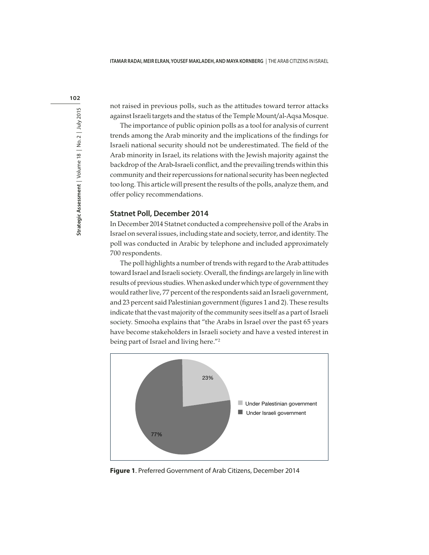not raised in previous polls, such as the attitudes toward terror attacks against Israeli targets and the status of the Temple Mount/al-Aqsa Mosque.

The importance of public opinion polls as a tool for analysis of current trends among the Arab minority and the implications of the findings for Israeli national security should not be underestimated. The field of the Arab minority in Israel, its relations with the Jewish majority against the backdrop of the Arab-Israeli conflict, and the prevailing trends within this community and their repercussions for national security has been neglected too long. This article will present the results of the polls, analyze them, and offer policy recommendations.

## **Statnet Poll, December 2014**

In December 2014 Statnet conducted a comprehensive poll of the Arabs in Israel on several issues, including state and society, terror, and identity. The poll was conducted in Arabic by telephone and included approximately 700 respondents.

The poll highlights a number of trends with regard to the Arab attitudes toward Israel and Israeli society. Overall, the findings are largely in line with results of previous studies. When asked under which type of government they would rather live, 77 percent of the respondents said an Israeli government, and 23 percent said Palestinian government (figures 1 and 2). These results indicate that the vast majority of the community sees itself as a part of Israeli society. Smooha explains that "the Arabs in Israel over the past 65 years have become stakeholders in Israeli society and have a vested interest in being part of Israel and living here."<sup>2</sup>



**Figure 1**. Preferred Government of Arab Citizens, December 2014

102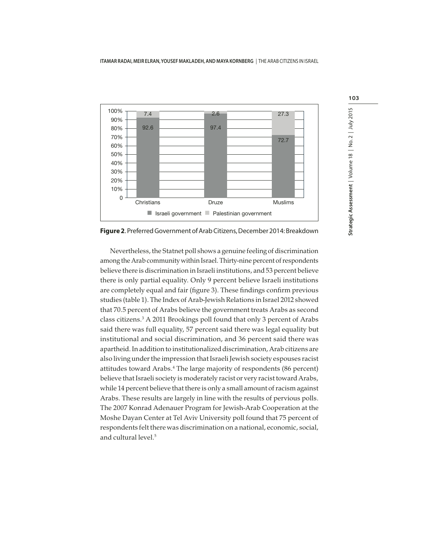

**Figure 2**. Preferred Government of Arab Citizens, December 2014: Breakdown

Nevertheless, the Statnet poll shows a genuine feeling of discrimination among the Arab community within Israel. Thirty-nine percent of respondents believe there is discrimination in Israeli institutions, and 53 percent believe there is only partial equality. Only 9 percent believe Israeli institutions are completely equal and fair (figure 3). These findings confirm previous studies (table 1). The Index of Arab-Jewish Relations in Israel 2012 showed that 70.5 percent of Arabs believe the government treats Arabs as second class citizens.<sup>3</sup> A 2011 Brookings poll found that only 3 percent of Arabs said there was full equality, 57 percent said there was legal equality but institutional and social discrimination, and 36 percent said there was apartheid. In addition to institutionalized discrimination, Arab citizens are also living under the impression that Israeli Jewish society espouses racist attitudes toward Arabs.<sup>4</sup> The large majority of respondents (86 percent) believe that Israeli society is moderately racist or very racist toward Arabs, while 14 percent believe that there is only a small amount of racism against Arabs. These results are largely in line with the results of pervious polls. The 2007 Konrad Adenauer Program for Jewish-Arab Cooperation at the Moshe Dayan Center at Tel Aviv University poll found that 75 percent of respondents felt there was discrimination on a national, economic, social, and cultural level.5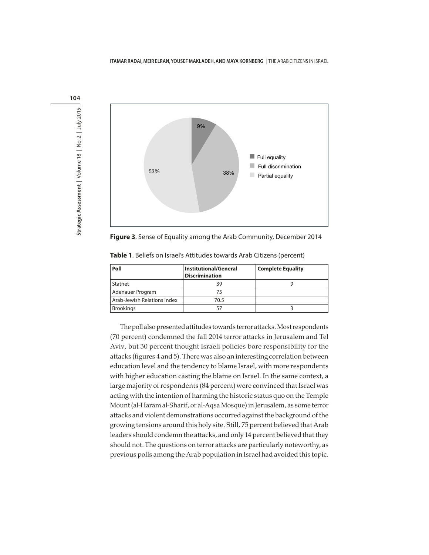

**Figure 3**. Sense of Equality among the Arab Community, December 2014

| Poll                        | <b>Institutional/General</b><br><b>Discrimination</b> | <b>Complete Equality</b> |
|-----------------------------|-------------------------------------------------------|--------------------------|
| Statnet                     | 39                                                    | g                        |
| Adenauer Program            | 75                                                    |                          |
| Arab-Jewish Relations Index | 70.5                                                  |                          |
| <b>Brookings</b>            |                                                       |                          |

**Table 1**. Beliefs on Israel's Attitudes towards Arab Citizens (percent)

The poll also presented attitudes towards terror attacks. Most respondents (70 percent) condemned the fall 2014 terror attacks in Jerusalem and Tel Aviv, but 30 percent thought Israeli policies bore responsibility for the attacks (figures 4 and 5). There was also an interesting correlation between education level and the tendency to blame Israel, with more respondents with higher education casting the blame on Israel. In the same context, a large majority of respondents (84 percent) were convinced that Israel was acting with the intention of harming the historic status quo on the Temple Mount (al-Haram al-Sharif, or al-Aqsa Mosque) in Jerusalem, as some terror attacks and violent demonstrations occurred against the background of the growing tensions around this holy site. Still, 75 percent believed that Arab leaders should condemn the attacks, and only 14 percent believed that they should not. The questions on terror attacks are particularly noteworthy, as previous polls among the Arab population in Israel had avoided this topic.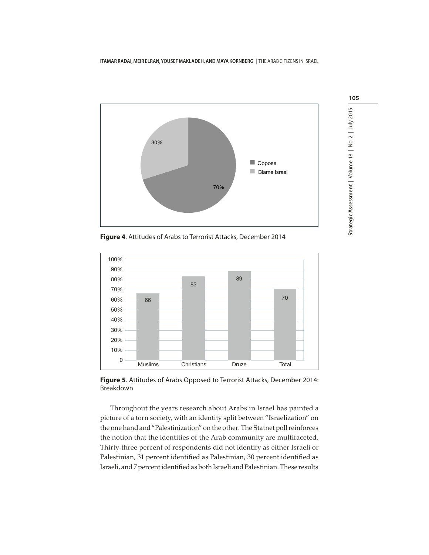

**Figure 4**. Attitudes of Arabs to Terrorist Attacks, December 2014



**Figure 5**. Attitudes of Arabs Opposed to Terrorist Attacks, December 2014: Breakdown

Throughout the years research about Arabs in Israel has painted a picture of a torn society, with an identity split between "Israelization" on the one hand and "Palestinization" on the other. The Statnet poll reinforces the notion that the identities of the Arab community are multifaceted. Thirty-three percent of respondents did not identify as either Israeli or Palestinian, 31 percent identified as Palestinian, 30 percent identified as Israeli, and 7 percent identified as both Israeli and Palestinian. These results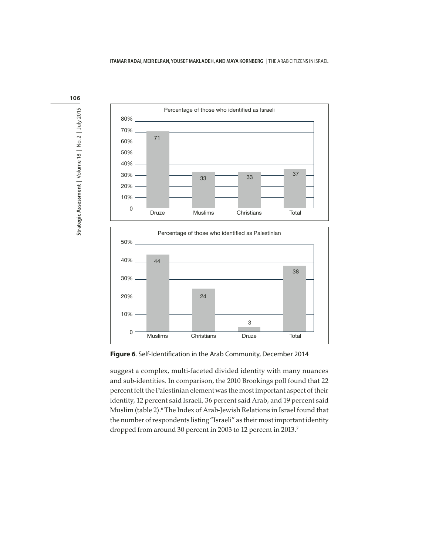

Figure 6. Self-Identification in the Arab Community, December 2014

suggest a complex, multi-faceted divided identity with many nuances and sub-identities. In comparison, the 2010 Brookings poll found that 22 percent felt the Palestinian element was the most important aspect of their identity, 12 percent said Israeli, 36 percent said Arab, and 19 percent said Muslim (table 2).<sup>6</sup> The Index of Arab-Jewish Relations in Israel found that the number of respondents listing "Israeli" as their most important identity dropped from around 30 percent in 2003 to 12 percent in 2013.<sup>7</sup>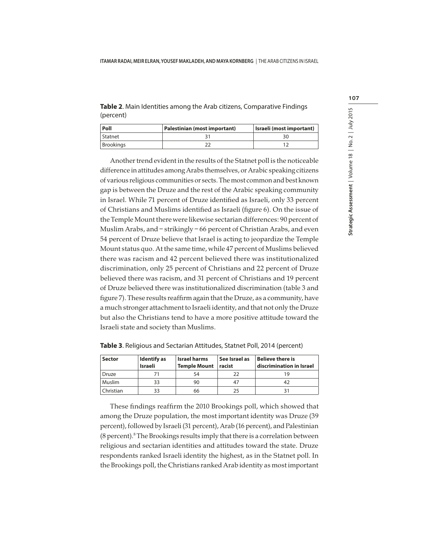**Table 2**. Main Identities among the Arab citizens, Comparative Findings (percent)

| Poll             | Palestinian (most important) | Israeli (most important) |  |
|------------------|------------------------------|--------------------------|--|
| Statnet          |                              |                          |  |
| <b>Brookings</b> |                              |                          |  |

Another trend evident in the results of the Statnet poll is the noticeable difference in attitudes among Arabs themselves, or Arabic speaking citizens of various religious communities or sects. The most common and best known gap is between the Druze and the rest of the Arabic speaking community in Israel. While 71 percent of Druze identified as Israeli, only 33 percent of Christians and Muslims identified as Israeli (figure 6). On the issue of the Temple Mount there were likewise sectarian differences: 90 percent of Muslim Arabs, and – strikingly – 66 percent of Christian Arabs, and even 54 percent of Druze believe that Israel is acting to jeopardize the Temple Mount status quo. At the same time, while 47 percent of Muslims believed there was racism and 42 percent believed there was institutionalized discrimination, only 25 percent of Christians and 22 percent of Druze believed there was racism, and 31 percent of Christians and 19 percent of Druze believed there was institutionalized discrimination (table 3 and figure 7). These results reaffirm again that the Druze, as a community, have a much stronger attachment to Israeli identity, and that not only the Druze but also the Christians tend to have a more positive attitude toward the Israeli state and society than Muslims.

| <b>Sector</b> | Identify as<br><b>Israeli</b> | <b>Israel harms</b><br><b>Temple Mount</b> | See Israel as<br>racist | Believe there is<br>discrimination in Israel |  |
|---------------|-------------------------------|--------------------------------------------|-------------------------|----------------------------------------------|--|
| Druze         |                               |                                            | 22                      |                                              |  |
| Muslim        | 33                            | 90                                         | 47                      |                                              |  |
| Christian     |                               | 66                                         | 25                      |                                              |  |

**Table 3**. Religious and Sectarian Attitudes, Statnet Poll, 2014 (percent)

These findings reaffirm the 2010 Brookings poll, which showed that among the Druze population, the most important identity was Druze (39 percent), followed by Israeli (31 percent), Arab (16 percent), and Palestinian (8 percent).<sup>8</sup> The Brookings results imply that there is a correlation between religious and sectarian identities and attitudes toward the state. Druze respondents ranked Israeli identity the highest, as in the Statnet poll. In the Brookings poll, the Christians ranked Arab identity as most important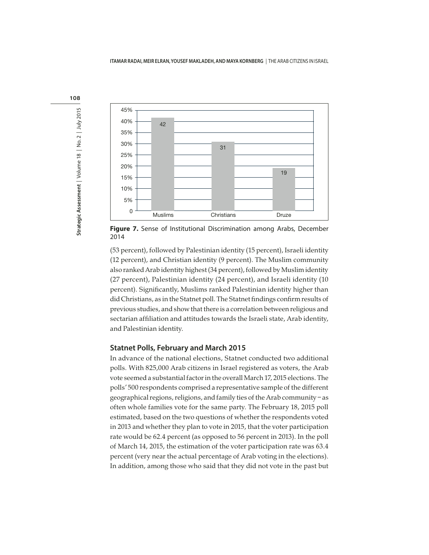



**Figure 7.** Sense of Institutional Discrimination among Arabs, December 2014

(53 percent), followed by Palestinian identity (15 percent), Israeli identity (12 percent), and Christian identity (9 percent). The Muslim community also ranked Arab identity highest (34 percent), followed by Muslim identity (27 percent), Palestinian identity (24 percent), and Israeli identity (10 percent). Significantly, Muslims ranked Palestinian identity higher than did Christians, as in the Statnet poll. The Statnet findings confirm results of previous studies, and show that there is a correlation between religious and sectarian affiliation and attitudes towards the Israeli state, Arab identity, and Palestinian identity.

## **Statnet Polls, February and March 2015**

In advance of the national elections, Statnet conducted two additional polls. With 825,000 Arab citizens in Israel registered as voters, the Arab vote seemed a substantial factor in the overall March 17, 2015 elections. The polls' 500 respondents comprised a representative sample of the different geographical regions, religions, and family ties of the Arab community – as often whole families vote for the same party. The February 18, 2015 poll estimated, based on the two questions of whether the respondents voted in 2013 and whether they plan to vote in 2015, that the voter participation rate would be 62.4 percent (as opposed to 56 percent in 2013). In the poll of March 14, 2015, the estimation of the voter participation rate was 63.4 percent (very near the actual percentage of Arab voting in the elections). In addition, among those who said that they did not vote in the past but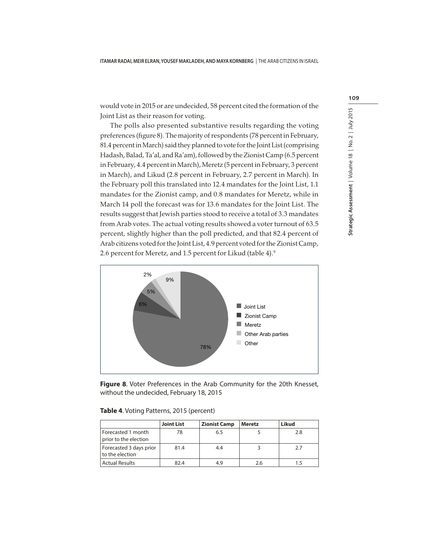would vote in 2015 or are undecided, 58 percent cited the formation of the Joint List as their reason for voting.

The polls also presented substantive results regarding the voting preferences (figure 8). The majority of respondents (78 percent in February, 81.4 percent in March) said they planned to vote for the Joint List (comprising Hadash, Balad, Ta'al, and Ra'am), followed by the Zionist Camp (6.5 percent in February, 4.4 percent in March), Meretz (5 percent in February, 3 percent in March), and Likud (2.8 percent in February, 2.7 percent in March). In the February poll this translated into 12.4 mandates for the Joint List, 1.1 mandates for the Zionist camp, and 0.8 mandates for Meretz, while in March 14 poll the forecast was for 13.6 mandates for the Joint List. The results suggest that Jewish parties stood to receive a total of 3.3 mandates from Arab votes. The actual voting results showed a voter turnout of 63.5 percent, slightly higher than the poll predicted, and that 82.4 percent of Arab citizens voted for the Joint List, 4.9 percent voted for the Zionist Camp, 2.6 percent for Meretz, and 1.5 percent for Likud (table 4).<sup>9</sup>



**Figure 8**. Voter Preferences in the Arab Community for the 20th Knesset, without the undecided, February 18, 2015

|                                             | <b>Joint List</b> | <b>Zionist Camp</b> | Meretz | Likud |
|---------------------------------------------|-------------------|---------------------|--------|-------|
| Forecasted 1 month<br>prior to the election | 78                | 6.5                 |        | 2.8   |
| Forecasted 3 days prior<br>to the election  | 81.4              | 4.4                 |        | 2.7   |
| <b>Actual Results</b>                       | 82.4              | 4.9                 | 2.6    |       |

#### **Table 4**. Voting Patterns, 2015 (percent)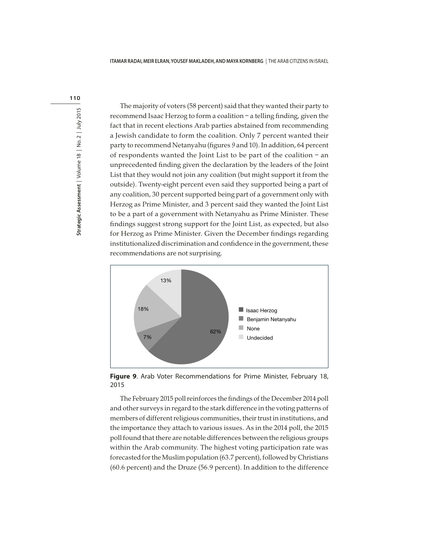

The majority of voters (58 percent) said that they wanted their party to recommend Isaac Herzog to form a coalition – a telling finding, given the fact that in recent elections Arab parties abstained from recommending a Jewish candidate to form the coalition. Only 7 percent wanted their party to recommend Netanyahu (figures 9 and 10). In addition, 64 percent of respondents wanted the Joint List to be part of the coalition – an unprecedented finding given the declaration by the leaders of the Joint List that they would not join any coalition (but might support it from the outside). Twenty-eight percent even said they supported being a part of any coalition, 30 percent supported being part of a government only with Herzog as Prime Minister, and 3 percent said they wanted the Joint List to be a part of a government with Netanyahu as Prime Minister. These findings suggest strong support for the Joint List, as expected, but also for Herzog as Prime Minister. Given the December findings regarding institutionalized discrimination and confidence in the government, these recommendations are not surprising.



**Figure 9**. Arab Voter Recommendations for Prime Minister, February 18, 2015

The February 2015 poll reinforces the findings of the December 2014 poll and other surveys in regard to the stark difference in the voting patterns of members of different religious communities, their trust in institutions, and the importance they attach to various issues. As in the 2014 poll, the 2015 poll found that there are notable differences between the religious groups within the Arab community. The highest voting participation rate was forecasted for the Muslim population (63.7 percent), followed by Christians (60.6 percent) and the Druze (56.9 percent). In addition to the difference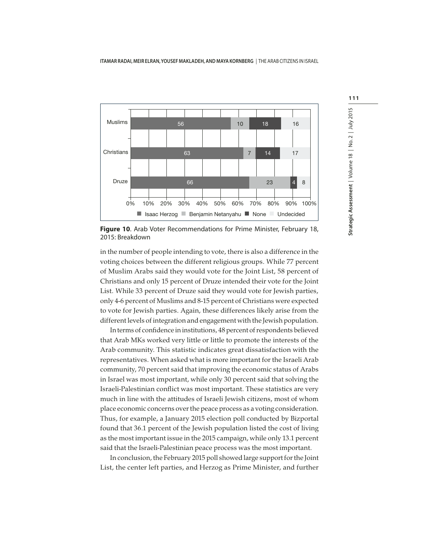

**Figure 10**. Arab Voter Recommendations for Prime Minister, February 18, 2015: Breakdown

in the number of people intending to vote, there is also a difference in the voting choices between the different religious groups. While 77 percent of Muslim Arabs said they would vote for the Joint List, 58 percent of Christians and only 15 percent of Druze intended their vote for the Joint List. While 33 percent of Druze said they would vote for Jewish parties, only 4-6 percent of Muslims and 8-15 percent of Christians were expected to vote for Jewish parties. Again, these differences likely arise from the different levels of integration and engagement with the Jewish population.

In terms of confidence in institutions, 48 percent of respondents believed that Arab MKs worked very little or little to promote the interests of the Arab community. This statistic indicates great dissatisfaction with the representatives. When asked what is more important for the Israeli Arab community, 70 percent said that improving the economic status of Arabs in Israel was most important, while only 30 percent said that solving the Israeli-Palestinian conflict was most important. These statistics are very much in line with the attitudes of Israeli Jewish citizens, most of whom place economic concerns over the peace process as a voting consideration. Thus, for example, a January 2015 election poll conducted by Bizportal found that 36.1 percent of the Jewish population listed the cost of living as the most important issue in the 2015 campaign, while only 13.1 percent said that the Israeli-Palestinian peace process was the most important.

In conclusion, the February 2015 poll showed large support for the Joint List, the center left parties, and Herzog as Prime Minister, and further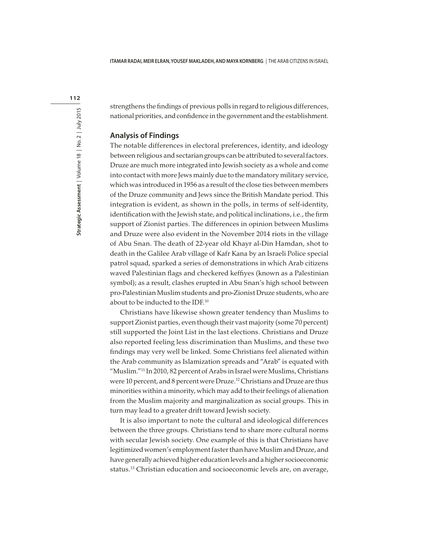strengthens the findings of previous polls in regard to religious differences, national priorities, and confidence in the government and the establishment.

## **Analysis of Findings**

The notable differences in electoral preferences, identity, and ideology between religious and sectarian groups can be attributed to several factors. Druze are much more integrated into Jewish society as a whole and come into contact with more Jews mainly due to the mandatory military service, which was introduced in 1956 as a result of the close ties between members of the Druze community and Jews since the British Mandate period. This integration is evident, as shown in the polls, in terms of self-identity, identification with the Jewish state, and political inclinations, i.e., the firm support of Zionist parties. The differences in opinion between Muslims and Druze were also evident in the November 2014 riots in the village of Abu Snan. The death of 22-year old Khayr al-Din Hamdan, shot to death in the Galilee Arab village of Kafr Kana by an Israeli Police special patrol squad, sparked a series of demonstrations in which Arab citizens waved Palestinian flags and checkered keffiyes (known as a Palestinian symbol); as a result, clashes erupted in Abu Snan's high school between pro-Palestinian Muslim students and pro-Zionist Druze students, who are about to be inducted to the IDF.<sup>10</sup>

Christians have likewise shown greater tendency than Muslims to support Zionist parties, even though their vast majority (some 70 percent) still supported the Joint List in the last elections. Christians and Druze also reported feeling less discrimination than Muslims, and these two findings may very well be linked. Some Christians feel alienated within the Arab community as Islamization spreads and "Arab" is equated with "Muslim."<sup>11</sup> In 2010, 82 percent of Arabs in Israel were Muslims, Christians were 10 percent, and 8 percent were Druze.<sup>12</sup> Christians and Druze are thus minorities within a minority, which may add to their feelings of alienation from the Muslim majority and marginalization as social groups. This in turn may lead to a greater drift toward Jewish society.

It is also important to note the cultural and ideological differences between the three groups. Christians tend to share more cultural norms with secular Jewish society. One example of this is that Christians have legitimized women's employment faster than have Muslim and Druze, and have generally achieved higher education levels and a higher socioeconomic status.13 Christian education and socioeconomic levels are, on average,

112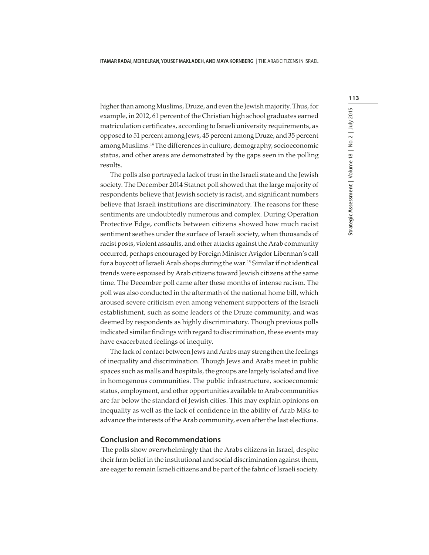higher than among Muslims, Druze, and even the Jewish majority. Thus, for example, in 2012, 61 percent of the Christian high school graduates earned matriculation certificates, according to Israeli university requirements, as opposed to 51 percent among Jews, 45 percent among Druze, and 35 percent among Muslims.<sup>14</sup> The differences in culture, demography, socioeconomic status, and other areas are demonstrated by the gaps seen in the polling results.

The polls also portrayed a lack of trust in the Israeli state and the Jewish society. The December 2014 Statnet poll showed that the large majority of respondents believe that Jewish society is racist, and significant numbers believe that Israeli institutions are discriminatory. The reasons for these sentiments are undoubtedly numerous and complex. During Operation Protective Edge, conflicts between citizens showed how much racist sentiment seethes under the surface of Israeli society, when thousands of racist posts, violent assaults, and other attacks against the Arab community occurred, perhaps encouraged by Foreign Minister Avigdor Liberman's call for a boycott of Israeli Arab shops during the war.<sup>15</sup> Similar if not identical trends were espoused by Arab citizens toward Jewish citizens at the same time. The December poll came after these months of intense racism. The poll was also conducted in the aftermath of the national home bill, which aroused severe criticism even among vehement supporters of the Israeli establishment, such as some leaders of the Druze community, and was deemed by respondents as highly discriminatory. Though previous polls indicated similar findings with regard to discrimination, these events may have exacerbated feelings of inequity.

The lack of contact between Jews and Arabs may strengthen the feelings of inequality and discrimination. Though Jews and Arabs meet in public spaces such as malls and hospitals, the groups are largely isolated and live in homogenous communities. The public infrastructure, socioeconomic status, employment, and other opportunities available to Arab communities are far below the standard of Jewish cities. This may explain opinions on inequality as well as the lack of confidence in the ability of Arab MKs to advance the interests of the Arab community, even after the last elections.

## **Conclusion and Recommendations**

 The polls show overwhelmingly that the Arabs citizens in Israel, despite their firm belief in the institutional and social discrimination against them, are eager to remain Israeli citizens and be part of the fabric of Israeli society.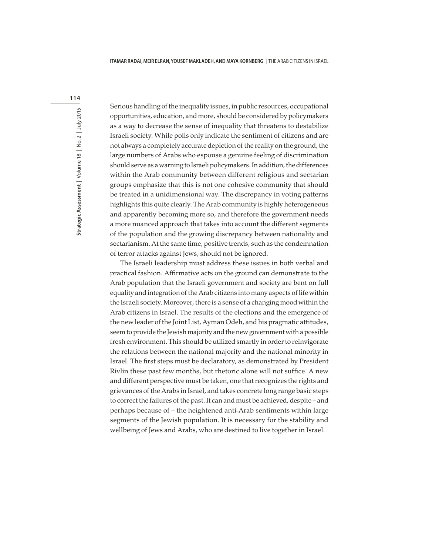Serious handling of the inequality issues, in public resources, occupational opportunities, education, and more, should be considered by policymakers as a way to decrease the sense of inequality that threatens to destabilize Israeli society. While polls only indicate the sentiment of citizens and are not always a completely accurate depiction of the reality on the ground, the large numbers of Arabs who espouse a genuine feeling of discrimination should serve as a warning to Israeli policymakers. In addition, the differences within the Arab community between different religious and sectarian groups emphasize that this is not one cohesive community that should be treated in a unidimensional way. The discrepancy in voting patterns highlights this quite clearly. The Arab community is highly heterogeneous and apparently becoming more so, and therefore the government needs a more nuanced approach that takes into account the different segments of the population and the growing discrepancy between nationality and sectarianism. At the same time, positive trends, such as the condemnation of terror attacks against Jews, should not be ignored.

The Israeli leadership must address these issues in both verbal and practical fashion. Affirmative acts on the ground can demonstrate to the Arab population that the Israeli government and society are bent on full equality and integration of the Arab citizens into many aspects of life within the Israeli society. Moreover, there is a sense of a changing mood within the Arab citizens in Israel. The results of the elections and the emergence of the new leader of the Joint List, Ayman Odeh, and his pragmatic attitudes, seem to provide the Jewish majority and the new government with a possible fresh environment. This should be utilized smartly in order to reinvigorate the relations between the national majority and the national minority in Israel. The first steps must be declaratory, as demonstrated by President Rivlin these past few months, but rhetoric alone will not suffice. A new and different perspective must be taken, one that recognizes the rights and grievances of the Arabs in Israel, and takes concrete long range basic steps to correct the failures of the past. It can and must be achieved, despite – and perhaps because of – the heightened anti-Arab sentiments within large segments of the Jewish population. It is necessary for the stability and wellbeing of Jews and Arabs, who are destined to live together in Israel.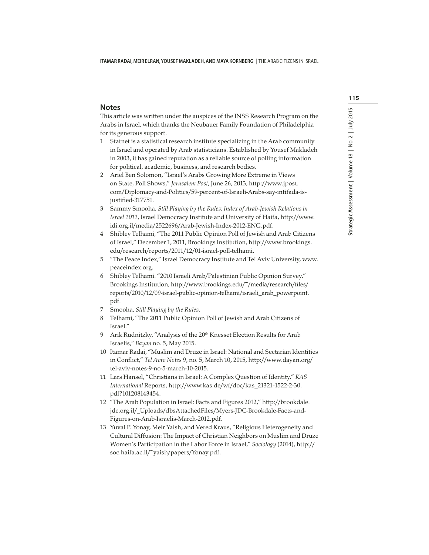## **Notes**

This article was written under the auspices of the INSS Research Program on the Arabs in Israel, which thanks the Neubauer Family Foundation of Philadelphia for its generous support.

- 1 Statnet is a statistical research institute specializing in the Arab community in Israel and operated by Arab statisticians. Established by Yousef Makladeh in 2003, it has gained reputation as a reliable source of polling information for political, academic, business, and research bodies.
- 2 Ariel Ben Solomon, "Israel's Arabs Growing More Extreme in Views on State, Poll Shows," Jerusalem Post, June 26, 2013, http://www.jpost. com/Diplomacy-and-Politics/59-percent-of-Israeli-Arabs-say-intifada-isjustified-317751.
- 3 Sammy Smooha, Still Playing by the Rules: Index of Arab-Jewish Relations in Israel 2012, Israel Democracy Institute and University of Haifa, http://www. idi.org.il/media/2522696/Arab-Jewish-Index-2012-ENG.pdf.
- 4 Shibley Telhami, "The 2011 Public Opinion Poll of Jewish and Arab Citizens of Israel," December 1, 2011, Brookings Institution, http://www.brookings. edu/research/reports/2011/12/01-israel-poll-telhami.
- 5 "The Peace Index," Israel Democracy Institute and Tel Aviv University, www. peaceindex.org.
- 6 Shibley Telhami. "2010 Israeli Arab/Palestinian Public Opinion Survey," Brookings Institution, http://www.brookings.edu/~/media/research/files/ reports/2010/12/09-israel-public-opinion-telhami/israeli\_arab\_powerpoint. pdf.
- 7 Smooha, Still Playing by the Rules.
- 8 Telhami, "The 2011 Public Opinion Poll of Jewish and Arab Citizens of Israel."
- 9 Arik Rudnitzky, "Analysis of the 20<sup>th</sup> Knesset Election Results for Arab Israelis," Bayan no. 5, May 2015.
- 10 Itamar Radai, "Muslim and Druze in Israel: National and Sectarian Identities in Conflict," Tel Aviv Notes 9, no. 5, March 10, 2015, http://www.dayan.org/ tel-aviv-notes-9-no-5-march-10-2015.
- 11 Lars Hansel, "Christians in Israel: A Complex Question of Identity," KAS International Reports, http://www.kas.de/wf/doc/kas\_21321-1522-2-30. pdf?101208143454.
- 12 "The Arab Population in Israel: Facts and Figures 2012," http://brookdale. jdc.org.il/\_Uploads/dbsAttachedFiles/Myers-JDC-Brookdale-Facts-and-Figures-on-Arab-Israelis-March-2012.pdf.
- 13 Yuval P. Yonay, Meir Yaish, and Vered Kraus, "Religious Heterogeneity and Cultural Diffusion: The Impact of Christian Neighbors on Muslim and Druze Women's Participation in the Labor Force in Israel," Sociology (2014), http:// soc.haifa.ac.il/~yaish/papers/Yonay.pdf.